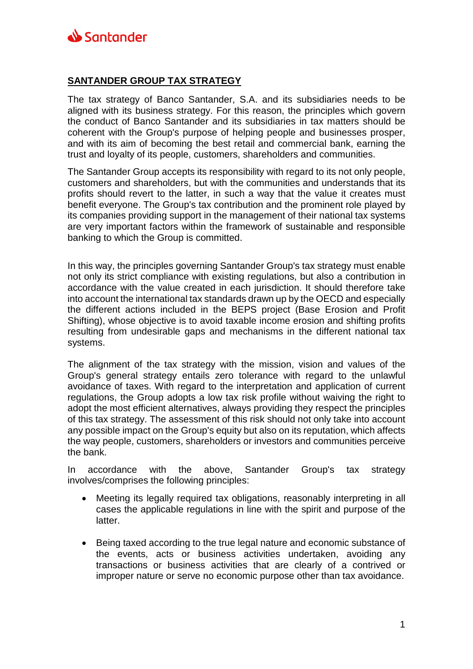

## **SANTANDER GROUP TAX STRATEGY**

The tax strategy of Banco Santander, S.A. and its subsidiaries needs to be aligned with its business strategy. For this reason, the principles which govern the conduct of Banco Santander and its subsidiaries in tax matters should be coherent with the Group's purpose of helping people and businesses prosper, and with its aim of becoming the best retail and commercial bank, earning the trust and loyalty of its people, customers, shareholders and communities.

The Santander Group accepts its responsibility with regard to its not only people, customers and shareholders, but with the communities and understands that its profits should revert to the latter, in such a way that the value it creates must benefit everyone. The Group's tax contribution and the prominent role played by its companies providing support in the management of their national tax systems are very important factors within the framework of sustainable and responsible banking to which the Group is committed.

In this way, the principles governing Santander Group's tax strategy must enable not only its strict compliance with existing regulations, but also a contribution in accordance with the value created in each jurisdiction. It should therefore take into account the international tax standards drawn up by the OECD and especially the different actions included in the BEPS project (Base Erosion and Profit Shifting), whose objective is to avoid taxable income erosion and shifting profits resulting from undesirable gaps and mechanisms in the different national tax systems.

The alignment of the tax strategy with the mission, vision and values of the Group's general strategy entails zero tolerance with regard to the unlawful avoidance of taxes. With regard to the interpretation and application of current regulations, the Group adopts a low tax risk profile without waiving the right to adopt the most efficient alternatives, always providing they respect the principles of this tax strategy. The assessment of this risk should not only take into account any possible impact on the Group's equity but also on its reputation, which affects the way people, customers, shareholders or investors and communities perceive the bank.

In accordance with the above, Santander Group's tax strategy involves/comprises the following principles:

- Meeting its legally required tax obligations, reasonably interpreting in all cases the applicable regulations in line with the spirit and purpose of the latter.
- Being taxed according to the true legal nature and economic substance of the events, acts or business activities undertaken, avoiding any transactions or business activities that are clearly of a contrived or improper nature or serve no economic purpose other than tax avoidance.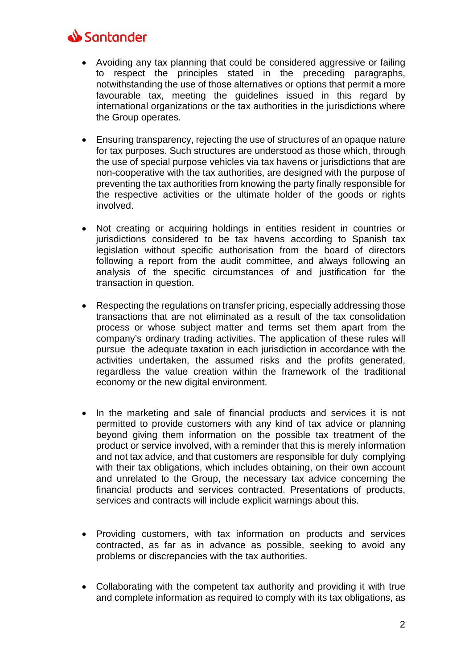## Santander

- Avoiding any tax planning that could be considered aggressive or failing to respect the principles stated in the preceding paragraphs, notwithstanding the use of those alternatives or options that permit a more favourable tax, meeting the guidelines issued in this regard by international organizations or the tax authorities in the jurisdictions where the Group operates.
- Ensuring transparency, rejecting the use of structures of an opaque nature for tax purposes. Such structures are understood as those which, through the use of special purpose vehicles via tax havens or jurisdictions that are non-cooperative with the tax authorities, are designed with the purpose of preventing the tax authorities from knowing the party finally responsible for the respective activities or the ultimate holder of the goods or rights involved.
- Not creating or acquiring holdings in entities resident in countries or jurisdictions considered to be tax havens according to Spanish tax legislation without specific authorisation from the board of directors following a report from the audit committee, and always following an analysis of the specific circumstances of and justification for the transaction in question.
- Respecting the regulations on transfer pricing, especially addressing those transactions that are not eliminated as a result of the tax consolidation process or whose subject matter and terms set them apart from the company's ordinary trading activities. The application of these rules will pursue the adequate taxation in each jurisdiction in accordance with the activities undertaken, the assumed risks and the profits generated, regardless the value creation within the framework of the traditional economy or the new digital environment.
- In the marketing and sale of financial products and services it is not permitted to provide customers with any kind of tax advice or planning beyond giving them information on the possible tax treatment of the product or service involved, with a reminder that this is merely information and not tax advice, and that customers are responsible for duly complying with their tax obligations, which includes obtaining, on their own account and unrelated to the Group, the necessary tax advice concerning the financial products and services contracted. Presentations of products, services and contracts will include explicit warnings about this.
- Providing customers, with tax information on products and services contracted, as far as in advance as possible, seeking to avoid any problems or discrepancies with the tax authorities.
- Collaborating with the competent tax authority and providing it with true and complete information as required to comply with its tax obligations, as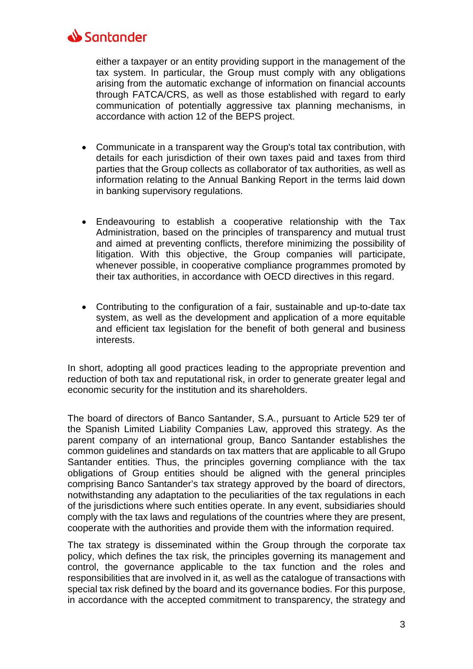

either a taxpayer or an entity providing support in the management of the tax system. In particular, the Group must comply with any obligations arising from the automatic exchange of information on financial accounts through FATCA/CRS, as well as those established with regard to early communication of potentially aggressive tax planning mechanisms, in accordance with action 12 of the BEPS project.

- Communicate in a transparent way the Group's total tax contribution, with details for each jurisdiction of their own taxes paid and taxes from third parties that the Group collects as collaborator of tax authorities, as well as information relating to the Annual Banking Report in the terms laid down in banking supervisory regulations.
- Endeavouring to establish a cooperative relationship with the Tax Administration, based on the principles of transparency and mutual trust and aimed at preventing conflicts, therefore minimizing the possibility of litigation. With this objective, the Group companies will participate, whenever possible, in cooperative compliance programmes promoted by their tax authorities, in accordance with OECD directives in this regard.
- Contributing to the configuration of a fair, sustainable and up-to-date tax system, as well as the development and application of a more equitable and efficient tax legislation for the benefit of both general and business interests.

In short, adopting all good practices leading to the appropriate prevention and reduction of both tax and reputational risk, in order to generate greater legal and economic security for the institution and its shareholders.

The board of directors of Banco Santander, S.A., pursuant to Article 529 ter of the Spanish Limited Liability Companies Law, approved this strategy. As the parent company of an international group, Banco Santander establishes the common guidelines and standards on tax matters that are applicable to all Grupo Santander entities. Thus, the principles governing compliance with the tax obligations of Group entities should be aligned with the general principles comprising Banco Santander's tax strategy approved by the board of directors, notwithstanding any adaptation to the peculiarities of the tax regulations in each of the jurisdictions where such entities operate. In any event, subsidiaries should comply with the tax laws and regulations of the countries where they are present, cooperate with the authorities and provide them with the information required.

The tax strategy is disseminated within the Group through the corporate tax policy, which defines the tax risk, the principles governing its management and control, the governance applicable to the tax function and the roles and responsibilities that are involved in it, as well as the catalogue of transactions with special tax risk defined by the board and its governance bodies. For this purpose, in accordance with the accepted commitment to transparency, the strategy and